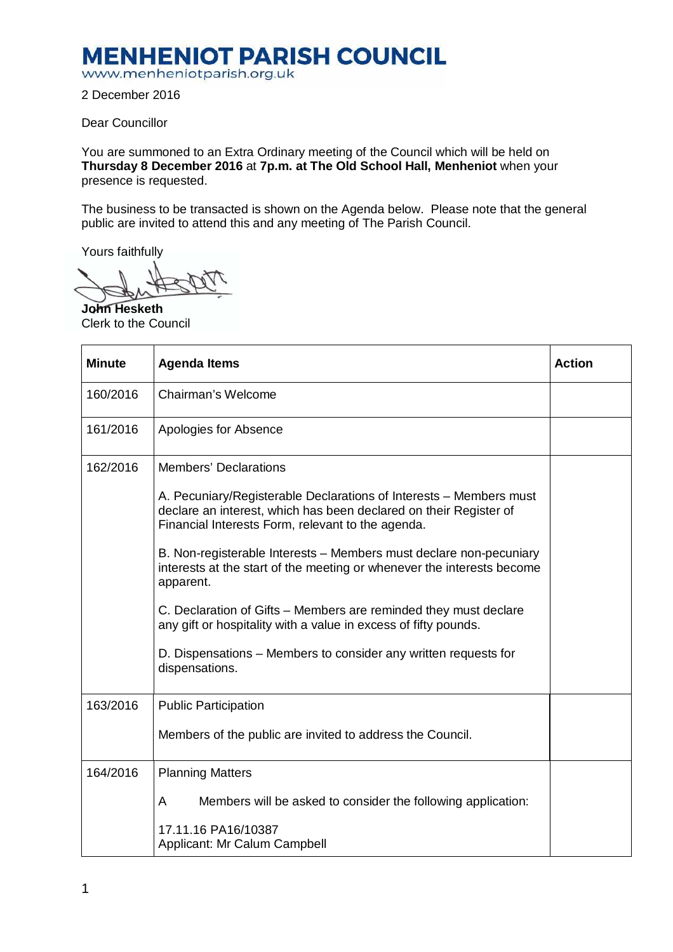## **MENHENIOT PARISH COUNCIL**

www.menheniotparish.org.uk

2 December 2016

Dear Councillor

You are summoned to an Extra Ordinary meeting of the Council which will be held on **Thursday 8 December 2016** at **7p.m. at The Old School Hall, Menheniot** when your presence is requested.

The business to be transacted is shown on the Agenda below. Please note that the general public are invited to attend this and any meeting of The Parish Council.

Yours faithfully

**John Hesketh**  Clerk to the Council

| <b>Minute</b> | <b>Agenda Items</b>                                                                                                                                                                                                                                                                                                                                                                                                                                                                                                                                                                                 | <b>Action</b> |
|---------------|-----------------------------------------------------------------------------------------------------------------------------------------------------------------------------------------------------------------------------------------------------------------------------------------------------------------------------------------------------------------------------------------------------------------------------------------------------------------------------------------------------------------------------------------------------------------------------------------------------|---------------|
| 160/2016      | Chairman's Welcome                                                                                                                                                                                                                                                                                                                                                                                                                                                                                                                                                                                  |               |
| 161/2016      | Apologies for Absence                                                                                                                                                                                                                                                                                                                                                                                                                                                                                                                                                                               |               |
| 162/2016      | <b>Members' Declarations</b><br>A. Pecuniary/Registerable Declarations of Interests - Members must<br>declare an interest, which has been declared on their Register of<br>Financial Interests Form, relevant to the agenda.<br>B. Non-registerable Interests - Members must declare non-pecuniary<br>interests at the start of the meeting or whenever the interests become<br>apparent.<br>C. Declaration of Gifts – Members are reminded they must declare<br>any gift or hospitality with a value in excess of fifty pounds.<br>D. Dispensations – Members to consider any written requests for |               |
|               | dispensations.                                                                                                                                                                                                                                                                                                                                                                                                                                                                                                                                                                                      |               |
| 163/2016      | <b>Public Participation</b><br>Members of the public are invited to address the Council.                                                                                                                                                                                                                                                                                                                                                                                                                                                                                                            |               |
| 164/2016      | <b>Planning Matters</b><br>Members will be asked to consider the following application:<br>A<br>17.11.16 PA16/10387<br>Applicant: Mr Calum Campbell                                                                                                                                                                                                                                                                                                                                                                                                                                                 |               |